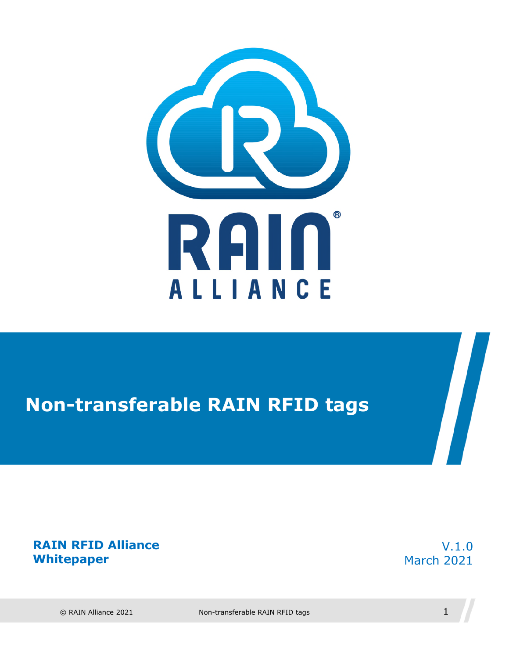

## **Non-transferable RAIN RFID tags**

**RAIN RFID Alliance Whitepaper** 

V.1.0 March 2021

 $\sqrt{2}$ 

 $\degree$  RAIN Alliance 2021 Non-transferable RAIN RFID tags  $1$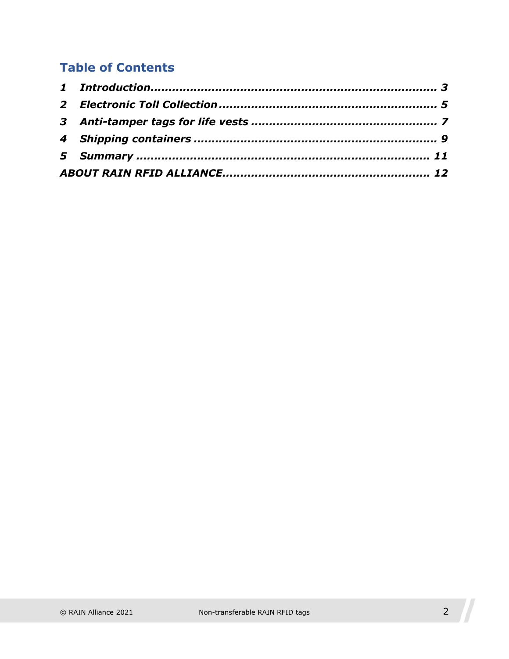#### **Table of Contents**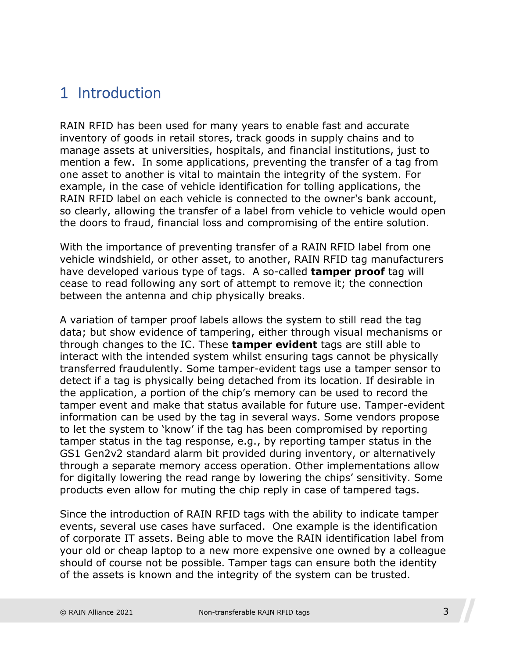#### <span id="page-2-0"></span>1 Introduction

RAIN RFID has been used for many years to enable fast and accurate inventory of goods in retail stores, track goods in supply chains and to manage assets at universities, hospitals, and financial institutions, just to mention a few. In some applications, preventing the transfer of a tag from one asset to another is vital to maintain the integrity of the system. For example, in the case of vehicle identification for tolling applications, the RAIN RFID label on each vehicle is connected to the owner's bank account, so clearly, allowing the transfer of a label from vehicle to vehicle would open the doors to fraud, financial loss and compromising of the entire solution.

With the importance of preventing transfer of a RAIN RFID label from one vehicle windshield, or other asset, to another, RAIN RFID tag manufacturers have developed various type of tags. A so-called **tamper proof** tag will cease to read following any sort of attempt to remove it; the connection between the antenna and chip physically breaks.

A variation of tamper proof labels allows the system to still read the tag data; but show evidence of tampering, either through visual mechanisms or through changes to the IC. These **tamper evident** tags are still able to interact with the intended system whilst ensuring tags cannot be physically transferred fraudulently. Some tamper-evident tags use a tamper sensor to detect if a tag is physically being detached from its location. If desirable in the application, a portion of the chip's memory can be used to record the tamper event and make that status available for future use. Tamper-evident information can be used by the tag in several ways. Some vendors propose to let the system to 'know' if the tag has been compromised by reporting tamper status in the tag response, e.g., by reporting tamper status in the GS1 Gen2v2 standard alarm bit provided during inventory, or alternatively through a separate memory access operation. Other implementations allow for digitally lowering the read range by lowering the chips' sensitivity. Some products even allow for muting the chip reply in case of tampered tags.

Since the introduction of RAIN RFID tags with the ability to indicate tamper events, several use cases have surfaced. One example is the identification of corporate IT assets. Being able to move the RAIN identification label from your old or cheap laptop to a new more expensive one owned by a colleague should of course not be possible. Tamper tags can ensure both the identity of the assets is known and the integrity of the system can be trusted.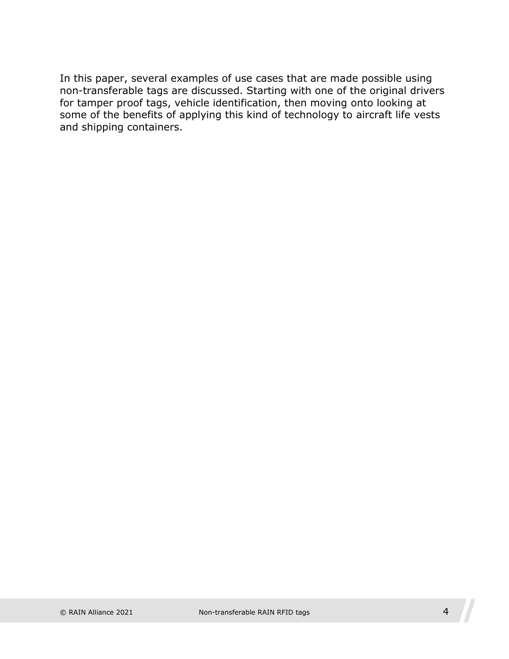In this paper, several examples of use cases that are made possible using non-transferable tags are discussed. Starting with one of the original drivers for tamper proof tags, vehicle identification, then moving onto looking at some of the benefits of applying this kind of technology to aircraft life vests and shipping containers.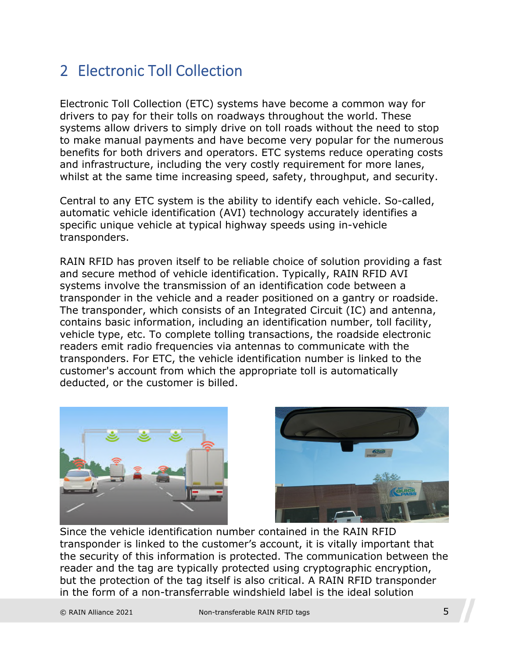#### <span id="page-4-0"></span>2 Electronic Toll Collection

Electronic Toll Collection (ETC) systems have become a common way for drivers to pay for their tolls on roadways throughout the world. These systems allow drivers to simply drive on toll roads without the need to stop to make manual payments and have become very popular for the numerous benefits for both drivers and operators. ETC systems reduce operating costs and infrastructure, including the very costly requirement for more lanes, whilst at the same time increasing speed, safety, throughput, and security.

Central to any ETC system is the ability to identify each vehicle. So-called, automatic vehicle identification (AVI) technology accurately identifies a specific unique vehicle at typical highway speeds using in-vehicle transponders.

RAIN RFID has proven itself to be reliable choice of solution providing a fast and secure method of vehicle identification. Typically, RAIN RFID AVI systems involve the transmission of an identification code between a transponder in the vehicle and a reader positioned on a gantry or roadside. The transponder, which consists of an Integrated Circuit (IC) and antenna, contains basic information, including an identification number, toll facility, vehicle type, etc. To complete tolling transactions, the roadside electronic readers emit radio frequencies via antennas to communicate with the transponders. For ETC, the vehicle identification number is linked to the customer's account from which the appropriate toll is automatically deducted, or the customer is billed.





Since the vehicle identification number contained in the RAIN RFID transponder is linked to the customer's account, it is vitally important that the security of this information is protected. The communication between the reader and the tag are typically protected using cryptographic encryption, but the protection of the tag itself is also critical. A RAIN RFID transponder in the form of a non-transferrable windshield label is the ideal solution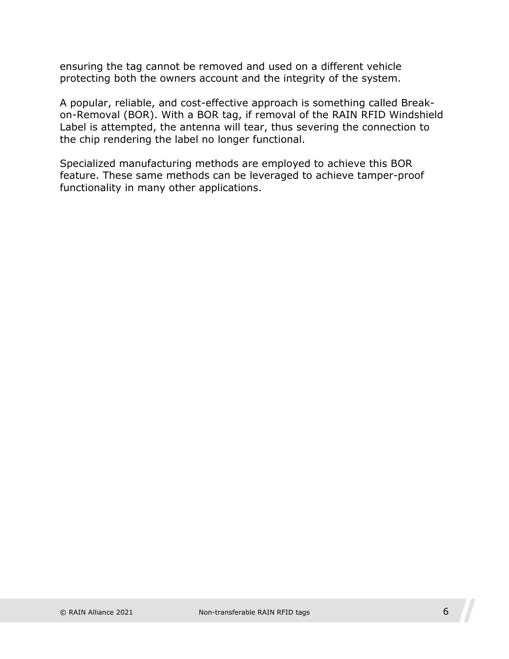ensuring the tag cannot be removed and used on a different vehicle protecting both the owners account and the integrity of the system.

A popular, reliable, and cost-effective approach is something called Breakon-Removal (BOR). With a BOR tag, if removal of the RAIN RFID Windshield Label is attempted, the antenna will tear, thus severing the connection to the chip rendering the label no longer functional.

Specialized manufacturing methods are employed to achieve this BOR feature. These same methods can be leveraged to achieve tamper-proof functionality in many other applications.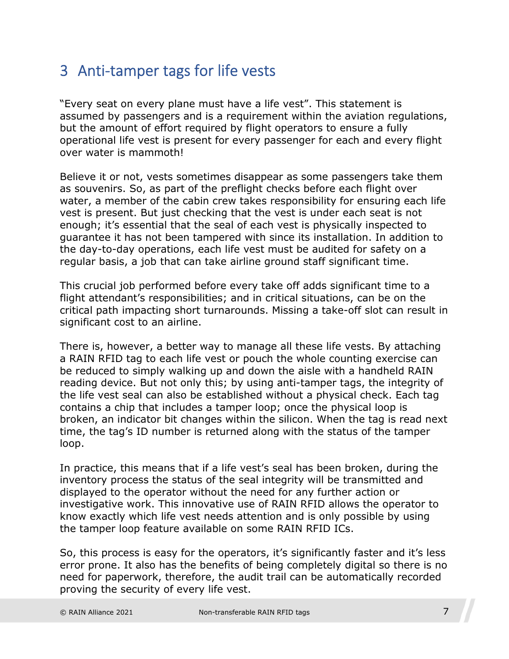#### <span id="page-6-0"></span>3 Anti-tamper tags for life vests

"Every seat on every plane must have a life vest". This statement is assumed by passengers and is a requirement within the aviation regulations, but the amount of effort required by flight operators to ensure a fully operational life vest is present for every passenger for each and every flight over water is mammoth!

Believe it or not, vests sometimes disappear as some passengers take them as souvenirs. So, as part of the preflight checks before each flight over water, a member of the cabin crew takes responsibility for ensuring each life vest is present. But just checking that the vest is under each seat is not enough; it's essential that the seal of each vest is physically inspected to guarantee it has not been tampered with since its installation. In addition to the day-to-day operations, each life vest must be audited for safety on a regular basis, a job that can take airline ground staff significant time.

This crucial job performed before every take off adds significant time to a flight attendant's responsibilities; and in critical situations, can be on the critical path impacting short turnarounds. Missing a take-off slot can result in significant cost to an airline.

There is, however, a better way to manage all these life vests. By attaching a RAIN RFID tag to each life vest or pouch the whole counting exercise can be reduced to simply walking up and down the aisle with a handheld RAIN reading device. But not only this; by using anti-tamper tags, the integrity of the life vest seal can also be established without a physical check. Each tag contains a chip that includes a tamper loop; once the physical loop is broken, an indicator bit changes within the silicon. When the tag is read next time, the tag's ID number is returned along with the status of the tamper loop.

In practice, this means that if a life vest's seal has been broken, during the inventory process the status of the seal integrity will be transmitted and displayed to the operator without the need for any further action or investigative work. This innovative use of RAIN RFID allows the operator to know exactly which life vest needs attention and is only possible by using the tamper loop feature available on some RAIN RFID ICs.

So, this process is easy for the operators, it's significantly faster and it's less error prone. It also has the benefits of being completely digital so there is no need for paperwork, therefore, the audit trail can be automatically recorded proving the security of every life vest.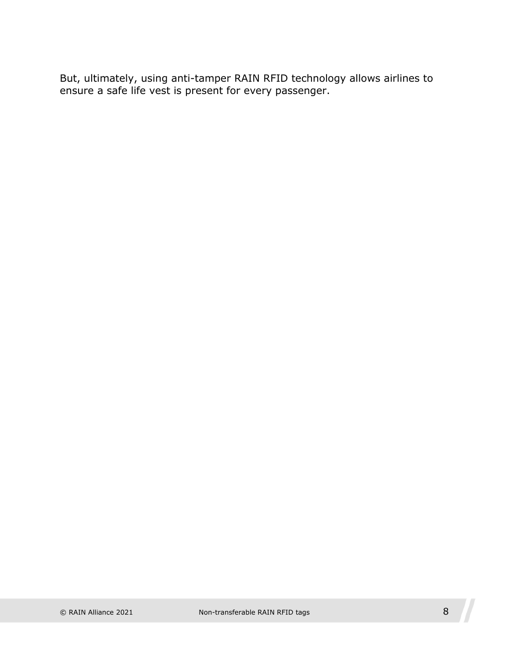But, ultimately, using anti-tamper RAIN RFID technology allows airlines to ensure a safe life vest is present for every passenger.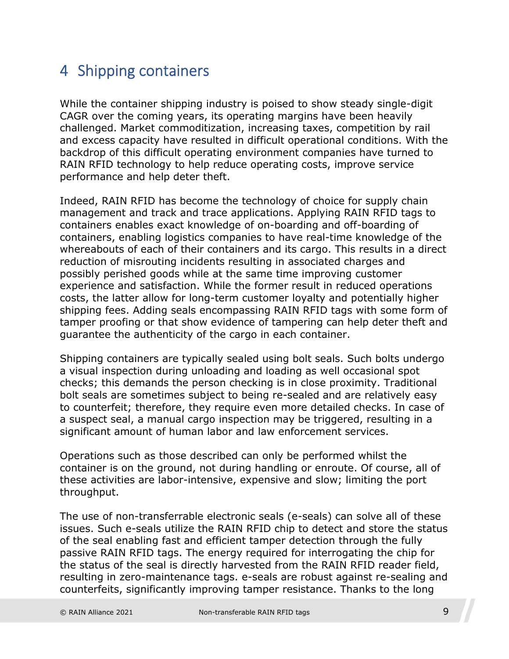#### <span id="page-8-0"></span>4 Shipping containers

While the container shipping industry is poised to show steady single-digit CAGR over the coming years, its operating margins have been heavily challenged. Market commoditization, increasing taxes, competition by rail and excess capacity have resulted in difficult operational conditions. With the backdrop of this difficult operating environment companies have turned to RAIN RFID technology to help reduce operating costs, improve service performance and help deter theft.

Indeed, RAIN RFID has become the technology of choice for supply chain management and track and trace applications. Applying RAIN RFID tags to containers enables exact knowledge of on-boarding and off-boarding of containers, enabling logistics companies to have real-time knowledge of the whereabouts of each of their containers and its cargo. This results in a direct reduction of misrouting incidents resulting in associated charges and possibly perished goods while at the same time improving customer experience and satisfaction. While the former result in reduced operations costs, the latter allow for long-term customer loyalty and potentially higher shipping fees. Adding seals encompassing RAIN RFID tags with some form of tamper proofing or that show evidence of tampering can help deter theft and guarantee the authenticity of the cargo in each container.

Shipping containers are typically sealed using bolt seals. Such bolts undergo a visual inspection during unloading and loading as well occasional spot checks; this demands the person checking is in close proximity. Traditional bolt seals are sometimes subject to being re-sealed and are relatively easy to counterfeit; therefore, they require even more detailed checks. In case of a suspect seal, a manual cargo inspection may be triggered, resulting in a significant amount of human labor and law enforcement services.

Operations such as those described can only be performed whilst the container is on the ground, not during handling or enroute. Of course, all of these activities are labor-intensive, expensive and slow; limiting the port throughput.

The use of non-transferrable electronic seals (e-seals) can solve all of these issues. Such e-seals utilize the RAIN RFID chip to detect and store the status of the seal enabling fast and efficient tamper detection through the fully passive RAIN RFID tags. The energy required for interrogating the chip for the status of the seal is directly harvested from the RAIN RFID reader field, resulting in zero-maintenance tags. e-seals are robust against re-sealing and counterfeits, significantly improving tamper resistance. Thanks to the long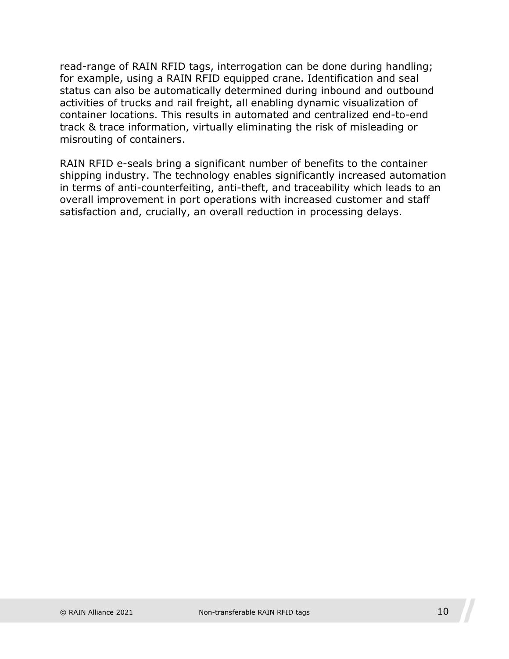read-range of RAIN RFID tags, interrogation can be done during handling; for example, using a RAIN RFID equipped crane. Identification and seal status can also be automatically determined during inbound and outbound activities of trucks and rail freight, all enabling dynamic visualization of container locations. This results in automated and centralized end-to-end track & trace information, virtually eliminating the risk of misleading or misrouting of containers.

RAIN RFID e-seals bring a significant number of benefits to the container shipping industry. The technology enables significantly increased automation in terms of anti-counterfeiting, anti-theft, and traceability which leads to an overall improvement in port operations with increased customer and staff satisfaction and, crucially, an overall reduction in processing delays.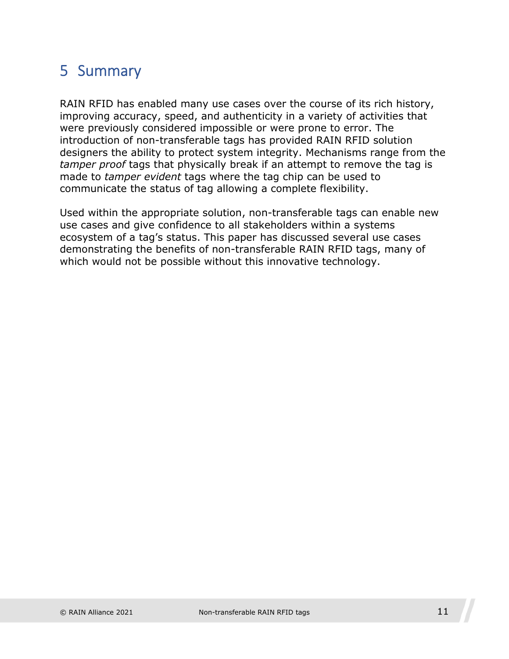### <span id="page-10-0"></span>5 Summary

RAIN RFID has enabled many use cases over the course of its rich history, improving accuracy, speed, and authenticity in a variety of activities that were previously considered impossible or were prone to error. The introduction of non-transferable tags has provided RAIN RFID solution designers the ability to protect system integrity. Mechanisms range from the *tamper proof* tags that physically break if an attempt to remove the tag is made to *tamper evident* tags where the tag chip can be used to communicate the status of tag allowing a complete flexibility.

Used within the appropriate solution, non-transferable tags can enable new use cases and give confidence to all stakeholders within a systems ecosystem of a tag's status. This paper has discussed several use cases demonstrating the benefits of non-transferable RAIN RFID tags, many of which would not be possible without this innovative technology.